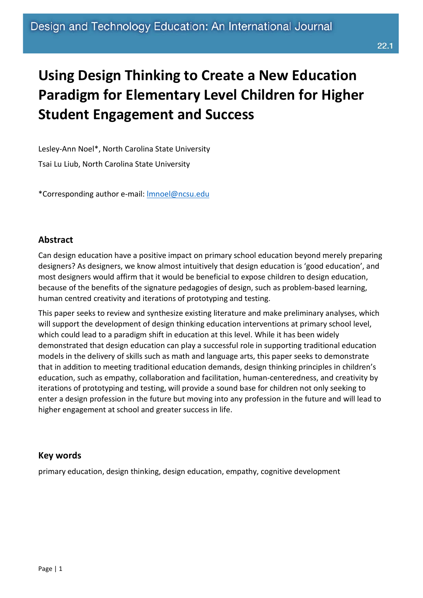# **Using Design Thinking to Create a New Education Paradigm for Elementary Level Children for Higher Student Engagement and Success**

Lesley-Ann Noel\*, North Carolina State University Tsai Lu Liub, North Carolina State University

\*Corresponding author e-mail: [lmnoel@ncsu.edu](mailto:lmnoel@ncsu.edu)

#### **Abstract**

Can design education have a positive impact on primary school education beyond merely preparing designers? As designers, we know almost intuitively that design education is 'good education', and most designers would affirm that it would be beneficial to expose children to design education, because of the benefits of the signature pedagogies of design, such as problem-based learning, human centred creativity and iterations of prototyping and testing.

This paper seeks to review and synthesize existing literature and make preliminary analyses, which will support the development of design thinking education interventions at primary school level, which could lead to a paradigm shift in education at this level. While it has been widely demonstrated that design education can play a successful role in supporting traditional education models in the delivery of skills such as math and language arts, this paper seeks to demonstrate that in addition to meeting traditional education demands, design thinking principles in children's education, such as empathy, collaboration and facilitation, human-centeredness, and creativity by iterations of prototyping and testing, will provide a sound base for children not only seeking to enter a design profession in the future but moving into any profession in the future and will lead to higher engagement at school and greater success in life.

#### **Key words**

primary education, design thinking, design education, empathy, cognitive development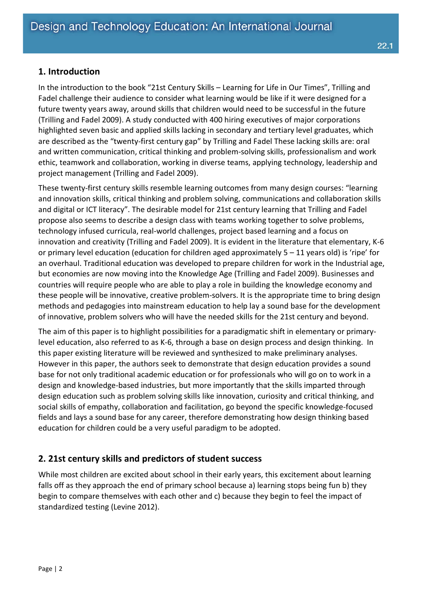#### **1. Introduction**

In the introduction to the book "21st Century Skills – Learning for Life in Our Times", Trilling and Fadel challenge their audience to consider what learning would be like if it were designed for a future twenty years away, around skills that children would need to be successful in the future (Trilling and Fadel 2009). A study conducted with 400 hiring executives of major corporations highlighted seven basic and applied skills lacking in secondary and tertiary level graduates, which are described as the "twenty-first century gap" by Trilling and Fadel These lacking skills are: oral and written communication, critical thinking and problem-solving skills, professionalism and work ethic, teamwork and collaboration, working in diverse teams, applying technology, leadership and project management (Trilling and Fadel 2009).

These twenty-first century skills resemble learning outcomes from many design courses: "learning and innovation skills, critical thinking and problem solving, communications and collaboration skills and digital or ICT literacy". The desirable model for 21st century learning that Trilling and Fadel propose also seems to describe a design class with teams working together to solve problems, technology infused curricula, real-world challenges, project based learning and a focus on innovation and creativity (Trilling and Fadel 2009). It is evident in the literature that elementary, K-6 or primary level education (education for children aged approximately 5 – 11 years old) is 'ripe' for an overhaul. Traditional education was developed to prepare children for work in the Industrial age, but economies are now moving into the Knowledge Age (Trilling and Fadel 2009). Businesses and countries will require people who are able to play a role in building the knowledge economy and these people will be innovative, creative problem-solvers. It is the appropriate time to bring design methods and pedagogies into mainstream education to help lay a sound base for the development of innovative, problem solvers who will have the needed skills for the 21st century and beyond.

The aim of this paper is to highlight possibilities for a paradigmatic shift in elementary or primarylevel education, also referred to as K-6, through a base on design process and design thinking. In this paper existing literature will be reviewed and synthesized to make preliminary analyses. However in this paper, the authors seek to demonstrate that design education provides a sound base for not only traditional academic education or for professionals who will go on to work in a design and knowledge-based industries, but more importantly that the skills imparted through design education such as problem solving skills like innovation, curiosity and critical thinking, and social skills of empathy, collaboration and facilitation, go beyond the specific knowledge-focused fields and lays a sound base for any career, therefore demonstrating how design thinking based education for children could be a very useful paradigm to be adopted.

#### **2. 21st century skills and predictors of student success**

While most children are excited about school in their early years, this excitement about learning falls off as they approach the end of primary school because a) learning stops being fun b) they begin to compare themselves with each other and c) because they begin to feel the impact of standardized testing (Levine 2012).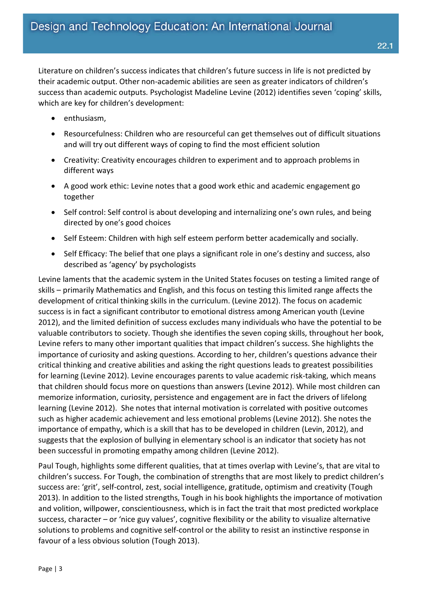Literature on children's success indicates that children's future success in life is not predicted by their academic output. Other non-academic abilities are seen as greater indicators of children's success than academic outputs. Psychologist Madeline Levine (2012) identifies seven 'coping' skills, which are key for children's development:

- enthusiasm,
- Resourcefulness: Children who are resourceful can get themselves out of difficult situations and will try out different ways of coping to find the most efficient solution
- Creativity: Creativity encourages children to experiment and to approach problems in different ways
- A good work ethic: Levine notes that a good work ethic and academic engagement go together
- Self control: Self control is about developing and internalizing one's own rules, and being directed by one's good choices
- Self Esteem: Children with high self esteem perform better academically and socially.
- Self Efficacy: The belief that one plays a significant role in one's destiny and success, also described as 'agency' by psychologists

Levine laments that the academic system in the United States focuses on testing a limited range of skills – primarily Mathematics and English, and this focus on testing this limited range affects the development of critical thinking skills in the curriculum. (Levine 2012). The focus on academic success is in fact a significant contributor to emotional distress among American youth (Levine 2012), and the limited definition of success excludes many individuals who have the potential to be valuable contributors to society. Though she identifies the seven coping skills, throughout her book, Levine refers to many other important qualities that impact children's success. She highlights the importance of curiosity and asking questions. According to her, children's questions advance their critical thinking and creative abilities and asking the right questions leads to greatest possibilities for learning (Levine 2012). Levine encourages parents to value academic risk-taking, which means that children should focus more on questions than answers (Levine 2012). While most children can memorize information, curiosity, persistence and engagement are in fact the drivers of lifelong learning (Levine 2012). She notes that internal motivation is correlated with positive outcomes such as higher academic achievement and less emotional problems (Levine 2012). She notes the importance of empathy, which is a skill that has to be developed in children (Levin, 2012), and suggests that the explosion of bullying in elementary school is an indicator that society has not been successful in promoting empathy among children (Levine 2012).

Paul Tough, highlights some different qualities, that at times overlap with Levine's, that are vital to children's success. For Tough, the combination of strengths that are most likely to predict children's success are: 'grit', self-control, zest, social intelligence, gratitude, optimism and creativity (Tough 2013). In addition to the listed strengths, Tough in his book highlights the importance of motivation and volition, willpower, conscientiousness, which is in fact the trait that most predicted workplace success, character – or 'nice guy values', cognitive flexibility or the ability to visualize alternative solutions to problems and cognitive self-control or the ability to resist an instinctive response in favour of a less obvious solution (Tough 2013).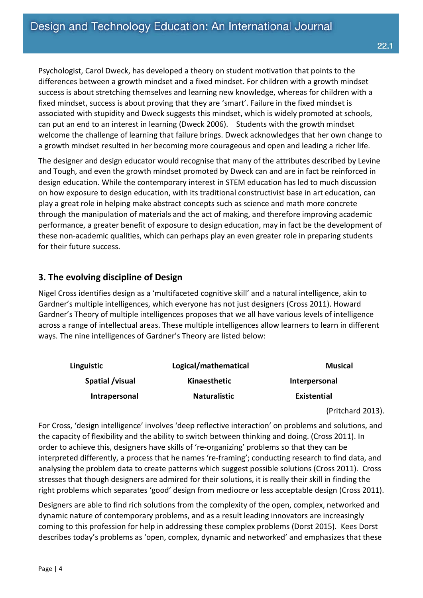Psychologist, Carol Dweck, has developed a theory on student motivation that points to the differences between a growth mindset and a fixed mindset. For children with a growth mindset success is about stretching themselves and learning new knowledge, whereas for children with a fixed mindset, success is about proving that they are 'smart'. Failure in the fixed mindset is associated with stupidity and Dweck suggests this mindset, which is widely promoted at schools, can put an end to an interest in learning (Dweck 2006). Students with the growth mindset welcome the challenge of learning that failure brings. Dweck acknowledges that her own change to a growth mindset resulted in her becoming more courageous and open and leading a richer life.

The designer and design educator would recognise that many of the attributes described by Levine and Tough, and even the growth mindset promoted by Dweck can and are in fact be reinforced in design education. While the contemporary interest in STEM education has led to much discussion on how exposure to design education, with its traditional constructivist base in art education, can play a great role in helping make abstract concepts such as science and math more concrete through the manipulation of materials and the act of making, and therefore improving academic performance, a greater benefit of exposure to design education, may in fact be the development of these non-academic qualities, which can perhaps play an even greater role in preparing students for their future success.

## **3. The evolving discipline of Design**

Nigel Cross identifies design as a 'multifaceted cognitive skill' and a natural intelligence, akin to Gardner's multiple intelligences, which everyone has not just designers (Cross 2011). Howard Gardner's Theory of multiple intelligences proposes that we all have various levels of intelligence across a range of intellectual areas. These multiple intelligences allow learners to learn in different ways. The nine intelligences of Gardner's Theory are listed below:

| Linguistic      | Logical/mathematical | <b>Musical</b> |
|-----------------|----------------------|----------------|
| Spatial /visual | Kinaesthetic         | Interpersonal  |
| Intrapersonal   | <b>Naturalistic</b>  | Existential    |

(Pritchard 2013).

For Cross, 'design intelligence' involves 'deep reflective interaction' on problems and solutions, and the capacity of flexibility and the ability to switch between thinking and doing. (Cross 2011). In order to achieve this, designers have skills of 're-organizing' problems so that they can be interpreted differently, a process that he names 're-framing'; conducting research to find data, and analysing the problem data to create patterns which suggest possible solutions (Cross 2011). Cross stresses that though designers are admired for their solutions, it is really their skill in finding the right problems which separates 'good' design from mediocre or less acceptable design (Cross 2011).

Designers are able to find rich solutions from the complexity of the open, complex, networked and dynamic nature of contemporary problems, and as a result leading innovators are increasingly coming to this profession for help in addressing these complex problems (Dorst 2015). Kees Dorst describes today's problems as 'open, complex, dynamic and networked' and emphasizes that these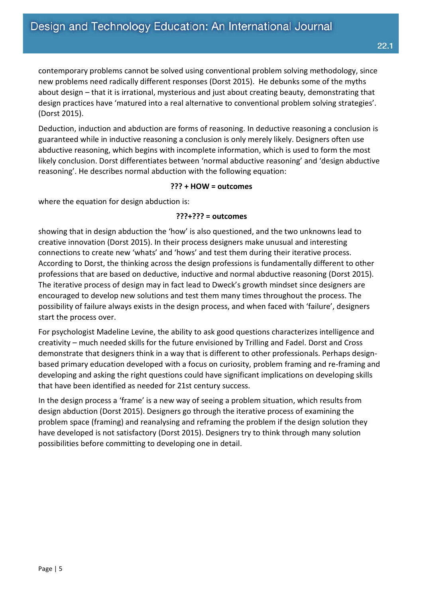contemporary problems cannot be solved using conventional problem solving methodology, since new problems need radically different responses (Dorst 2015). He debunks some of the myths about design – that it is irrational, mysterious and just about creating beauty, demonstrating that design practices have 'matured into a real alternative to conventional problem solving strategies'. (Dorst 2015).

Deduction, induction and abduction are forms of reasoning. In deductive reasoning a conclusion is guaranteed while in inductive reasoning a conclusion is only merely likely. Designers often use abductive reasoning, which begins with incomplete information, which is used to form the most likely conclusion. Dorst differentiates between 'normal abductive reasoning' and 'design abductive reasoning'. He describes normal abduction with the following equation:

#### **??? + HOW = outcomes**

where the equation for design abduction is:

#### **???+??? = outcomes**

showing that in design abduction the 'how' is also questioned, and the two unknowns lead to creative innovation (Dorst 2015). In their process designers make unusual and interesting connections to create new 'whats' and 'hows' and test them during their iterative process. According to Dorst, the thinking across the design professions is fundamentally different to other professions that are based on deductive, inductive and normal abductive reasoning (Dorst 2015). The iterative process of design may in fact lead to Dweck's growth mindset since designers are encouraged to develop new solutions and test them many times throughout the process. The possibility of failure always exists in the design process, and when faced with 'failure', designers start the process over.

For psychologist Madeline Levine, the ability to ask good questions characterizes intelligence and creativity – much needed skills for the future envisioned by Trilling and Fadel. Dorst and Cross demonstrate that designers think in a way that is different to other professionals. Perhaps designbased primary education developed with a focus on curiosity, problem framing and re-framing and developing and asking the right questions could have significant implications on developing skills that have been identified as needed for 21st century success.

In the design process a 'frame' is a new way of seeing a problem situation, which results from design abduction (Dorst 2015). Designers go through the iterative process of examining the problem space (framing) and reanalysing and reframing the problem if the design solution they have developed is not satisfactory (Dorst 2015). Designers try to think through many solution possibilities before committing to developing one in detail.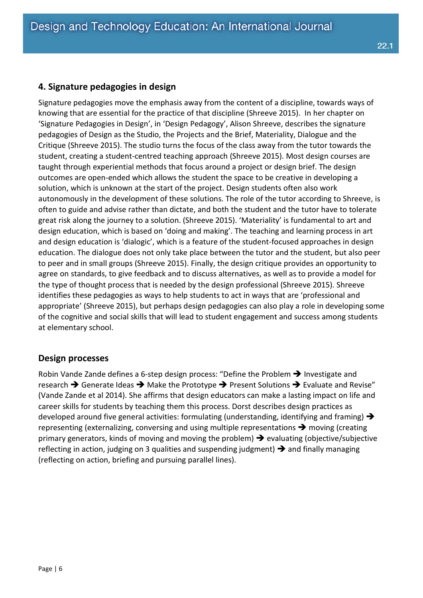### **4. Signature pedagogies in design**

Signature pedagogies move the emphasis away from the content of a discipline, towards ways of knowing that are essential for the practice of that discipline (Shreeve 2015). In her chapter on 'Signature Pedagogies in Design', in 'Design Pedagogy', Alison Shreeve, describes the signature pedagogies of Design as the Studio, the Projects and the Brief, Materiality, Dialogue and the Critique (Shreeve 2015). The studio turns the focus of the class away from the tutor towards the student, creating a student-centred teaching approach (Shreeve 2015). Most design courses are taught through experiential methods that focus around a project or design brief. The design outcomes are open-ended which allows the student the space to be creative in developing a solution, which is unknown at the start of the project. Design students often also work autonomously in the development of these solutions. The role of the tutor according to Shreeve, is often to guide and advise rather than dictate, and both the student and the tutor have to tolerate great risk along the journey to a solution. (Shreeve 2015). 'Materiality' is fundamental to art and design education, which is based on 'doing and making'. The teaching and learning process in art and design education is 'dialogic', which is a feature of the student-focused approaches in design education. The dialogue does not only take place between the tutor and the student, but also peer to peer and in small groups (Shreeve 2015). Finally, the design critique provides an opportunity to agree on standards, to give feedback and to discuss alternatives, as well as to provide a model for the type of thought process that is needed by the design professional (Shreeve 2015). Shreeve identifies these pedagogies as ways to help students to act in ways that are 'professional and appropriate' (Shreeve 2015), but perhaps design pedagogies can also play a role in developing some of the cognitive and social skills that will lead to student engagement and success among students at elementary school.

#### **Design processes**

Robin Vande Zande defines a 6-step design process: "Define the Problem  $\rightarrow$  Investigate and research  $\rightarrow$  Generate Ideas  $\rightarrow$  Make the Prototype  $\rightarrow$  Present Solutions  $\rightarrow$  Evaluate and Revise" (Vande Zande et al 2014). She affirms that design educators can make a lasting impact on life and career skills for students by teaching them this process. Dorst describes design practices as developed around five general activities: formulating (understanding, identifying and framing)  $\rightarrow$ representing (externalizing, conversing and using multiple representations  $\rightarrow$  moving (creating primary generators, kinds of moving and moving the problem)  $\rightarrow$  evaluating (objective/subjective reflecting in action, judging on 3 qualities and suspending judgment)  $\rightarrow$  and finally managing (reflecting on action, briefing and pursuing parallel lines).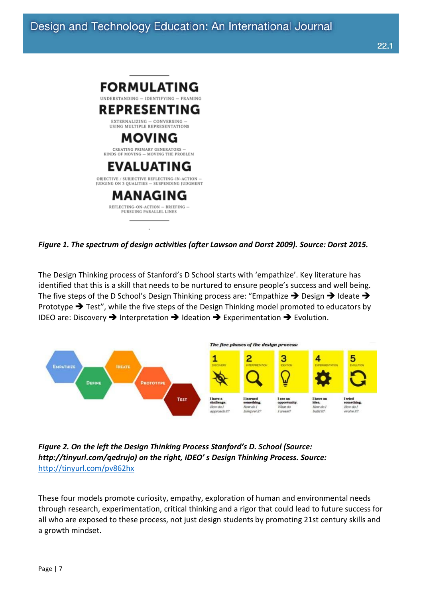

*Figure 1. The spectrum of design activities (after Lawson and Dorst 2009). Source: Dorst 2015.*

The Design Thinking process of Stanford's D School starts with 'empathize'. Key literature has identified that this is a skill that needs to be nurtured to ensure people's success and well being. The five steps of the D School's Design Thinking process are: "Empathize  $\rightarrow$  Design  $\rightarrow$  Ideate  $\rightarrow$ Prototype  $\rightarrow$  Test", while the five steps of the Design Thinking model promoted to educators by IDEO are: Discovery  $\rightarrow$  Interpretation  $\rightarrow$  Ideation  $\rightarrow$  Experimentation  $\rightarrow$  Evolution.



#### *Figure 2. On the left the Design Thinking Process Stanford's D. School (Source: http://tinyurl.com/qedrujo) on the right, IDEO' s Design Thinking Process. Source:*  <http://tinyurl.com/pv862hx>

These four models promote curiosity, empathy, exploration of human and environmental needs through research, experimentation, critical thinking and a rigor that could lead to future success for all who are exposed to these process, not just design students by promoting 21st century skills and a growth mindset.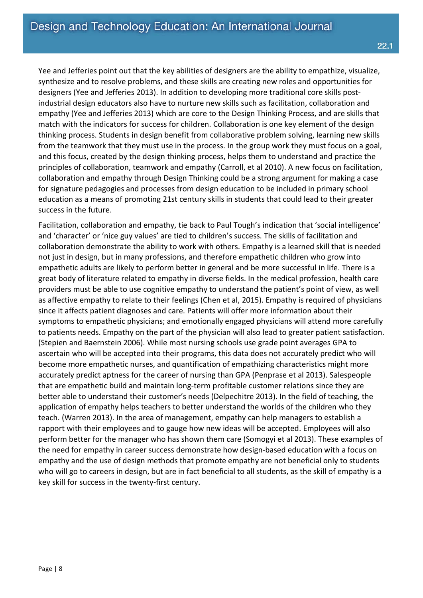Yee and Jefferies point out that the key abilities of designers are the ability to empathize, visualize, synthesize and to resolve problems, and these skills are creating new roles and opportunities for designers (Yee and Jefferies 2013). In addition to developing more traditional core skills postindustrial design educators also have to nurture new skills such as facilitation, collaboration and empathy (Yee and Jefferies 2013) which are core to the Design Thinking Process, and are skills that match with the indicators for success for children. Collaboration is one key element of the design thinking process. Students in design benefit from collaborative problem solving, learning new skills from the teamwork that they must use in the process. In the group work they must focus on a goal, and this focus, created by the design thinking process, helps them to understand and practice the principles of collaboration, teamwork and empathy (Carroll, et al 2010). A new focus on facilitation, collaboration and empathy through Design Thinking could be a strong argument for making a case for signature pedagogies and processes from design education to be included in primary school education as a means of promoting 21st century skills in students that could lead to their greater success in the future.

Facilitation, collaboration and empathy, tie back to Paul Tough's indication that 'social intelligence' and 'character' or 'nice guy values' are tied to children's success. The skills of facilitation and collaboration demonstrate the ability to work with others. Empathy is a learned skill that is needed not just in design, but in many professions, and therefore empathetic children who grow into empathetic adults are likely to perform better in general and be more successful in life. There is a great body of literature related to empathy in diverse fields. In the medical profession, health care providers must be able to use cognitive empathy to understand the patient's point of view, as well as affective empathy to relate to their feelings (Chen et al, 2015). Empathy is required of physicians since it affects patient diagnoses and care. Patients will offer more information about their symptoms to empathetic physicians; and emotionally engaged physicians will attend more carefully to patients needs. Empathy on the part of the physician will also lead to greater patient satisfaction. (Stepien and Baernstein 2006). While most nursing schools use grade point averages GPA to ascertain who will be accepted into their programs, this data does not accurately predict who will become more empathetic nurses, and quantification of empathizing characteristics might more accurately predict aptness for the career of nursing than GPA (Penprase et al 2013). Salespeople that are empathetic build and maintain long-term profitable customer relations since they are better able to understand their customer's needs (Delpechitre 2013). In the field of teaching, the application of empathy helps teachers to better understand the worlds of the children who they teach. (Warren 2013). In the area of management, empathy can help managers to establish a rapport with their employees and to gauge how new ideas will be accepted. Employees will also perform better for the manager who has shown them care (Somogyi et al 2013). These examples of the need for empathy in career success demonstrate how design-based education with a focus on empathy and the use of design methods that promote empathy are not beneficial only to students who will go to careers in design, but are in fact beneficial to all students, as the skill of empathy is a key skill for success in the twenty-first century.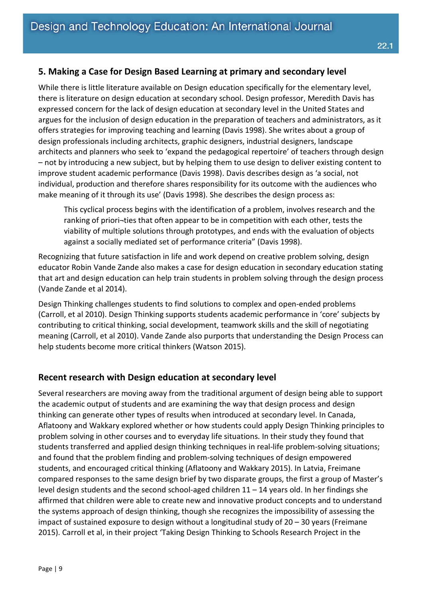# **5. Making a Case for Design Based Learning at primary and secondary level**

While there is little literature available on Design education specifically for the elementary level, there is literature on design education at secondary school. Design professor, Meredith Davis has expressed concern for the lack of design education at secondary level in the United States and argues for the inclusion of design education in the preparation of teachers and administrators, as it offers strategies for improving teaching and learning (Davis 1998). She writes about a group of design professionals including architects, graphic designers, industrial designers, landscape architects and planners who seek to 'expand the pedagogical repertoire' of teachers through design – not by introducing a new subject, but by helping them to use design to deliver existing content to improve student academic performance (Davis 1998). Davis describes design as 'a social, not individual, production and therefore shares responsibility for its outcome with the audiences who make meaning of it through its use' (Davis 1998). She describes the design process as:

This cyclical process begins with the identification of a problem, involves research and the ranking of priori-ties that often appear to be in competition with each other, tests the viability of multiple solutions through prototypes, and ends with the evaluation of objects against a socially mediated set of performance criteria" (Davis 1998).

Recognizing that future satisfaction in life and work depend on creative problem solving, design educator Robin Vande Zande also makes a case for design education in secondary education stating that art and design education can help train students in problem solving through the design process (Vande Zande et al 2014).

Design Thinking challenges students to find solutions to complex and open-ended problems (Carroll, et al 2010). Design Thinking supports students academic performance in 'core' subjects by contributing to critical thinking, social development, teamwork skills and the skill of negotiating meaning (Carroll, et al 2010). Vande Zande also purports that understanding the Design Process can help students become more critical thinkers (Watson 2015).

# **Recent research with Design education at secondary level**

Several researchers are moving away from the traditional argument of design being able to support the academic output of students and are examining the way that design process and design thinking can generate other types of results when introduced at secondary level. In Canada, Aflatoony and Wakkary explored whether or how students could apply Design Thinking principles to problem solving in other courses and to everyday life situations. In their study they found that students transferred and applied design thinking techniques in real-life problem-solving situations; and found that the problem finding and problem-solving techniques of design empowered students, and encouraged critical thinking (Aflatoony and Wakkary 2015). In Latvia, Freimane compared responses to the same design brief by two disparate groups, the first a group of Master's level design students and the second school-aged children 11 – 14 years old. In her findings she affirmed that children were able to create new and innovative product concepts and to understand the systems approach of design thinking, though she recognizes the impossibility of assessing the impact of sustained exposure to design without a longitudinal study of 20 – 30 years (Freimane 2015). Carroll et al, in their project 'Taking Design Thinking to Schools Research Project in the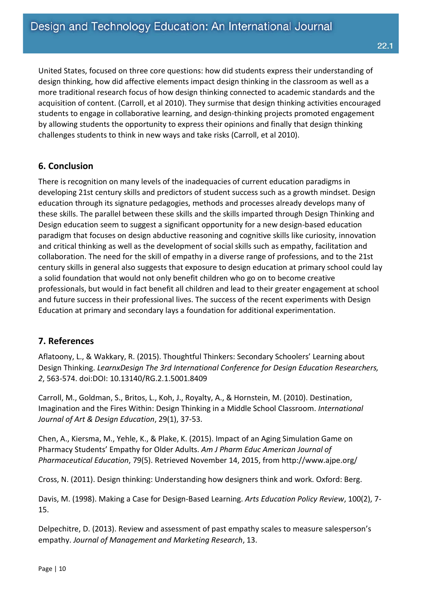United States, focused on three core questions: how did students express their understanding of design thinking, how did affective elements impact design thinking in the classroom as well as a more traditional research focus of how design thinking connected to academic standards and the acquisition of content. (Carroll, et al 2010). They surmise that design thinking activities encouraged students to engage in collaborative learning, and design-thinking projects promoted engagement by allowing students the opportunity to express their opinions and finally that design thinking challenges students to think in new ways and take risks (Carroll, et al 2010).

#### **6. Conclusion**

There is recognition on many levels of the inadequacies of current education paradigms in developing 21st century skills and predictors of student success such as a growth mindset. Design education through its signature pedagogies, methods and processes already develops many of these skills. The parallel between these skills and the skills imparted through Design Thinking and Design education seem to suggest a significant opportunity for a new design-based education paradigm that focuses on design abductive reasoning and cognitive skills like curiosity, innovation and critical thinking as well as the development of social skills such as empathy, facilitation and collaboration. The need for the skill of empathy in a diverse range of professions, and to the 21st century skills in general also suggests that exposure to design education at primary school could lay a solid foundation that would not only benefit children who go on to become creative professionals, but would in fact benefit all children and lead to their greater engagement at school and future success in their professional lives. The success of the recent experiments with Design Education at primary and secondary lays a foundation for additional experimentation.

#### **7. References**

Aflatoony, L., & Wakkary, R. (2015). Thoughtful Thinkers: Secondary Schoolers' Learning about Design Thinking. *LearnxDesign The 3rd International Conference for Design Education Researchers, 2*, 563-574. doi:DOI: 10.13140/RG.2.1.5001.8409

Carroll, M., Goldman, S., Britos, L., Koh, J., Royalty, A., & Hornstein, M. (2010). Destination, Imagination and the Fires Within: Design Thinking in a Middle School Classroom. *International Journal of Art & Design Education*, 29(1), 37-53.

Chen, A., Kiersma, M., Yehle, K., & Plake, K. (2015). Impact of an Aging Simulation Game on Pharmacy Students' Empathy for Older Adults. *Am J Pharm Educ American Journal of Pharmaceutical Education*, 79(5). Retrieved November 14, 2015, from http://www.ajpe.org/

Cross, N. (2011). Design thinking: Understanding how designers think and work. Oxford: Berg.

Davis, M. (1998). Making a Case for Design-Based Learning. *Arts Education Policy Review*, 100(2), 7- 15.

Delpechitre, D. (2013). Review and assessment of past empathy scales to measure salesperson's empathy. *Journal of Management and Marketing Research*, 13.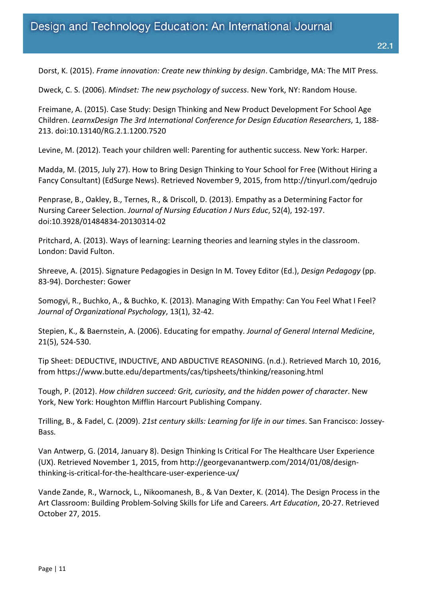Dorst, K. (2015). *Frame innovation: Create new thinking by design*. Cambridge, MA: The MIT Press.

Dweck, C. S. (2006). *Mindset: The new psychology of success*. New York, NY: Random House.

Freimane, A. (2015). Case Study: Design Thinking and New Product Development For School Age Children. *LearnxDesign The 3rd International Conference for Design Education Researchers*, 1, 188- 213. doi:10.13140/RG.2.1.1200.7520

Levine, M. (2012). Teach your children well: Parenting for authentic success. New York: Harper.

Madda, M. (2015, July 27). How to Bring Design Thinking to Your School for Free (Without Hiring a Fancy Consultant) (EdSurge News). Retrieved November 9, 2015, from http://tinyurl.com/qedrujo

Penprase, B., Oakley, B., Ternes, R., & Driscoll, D. (2013). Empathy as a Determining Factor for Nursing Career Selection. *Journal of Nursing Education J Nurs Educ*, 52(4), 192-197. doi:10.3928/01484834-20130314-02

Pritchard, A. (2013). Ways of learning: Learning theories and learning styles in the classroom. London: David Fulton.

Shreeve, A. (2015). Signature Pedagogies in Design In M. Tovey Editor (Ed.), *Design Pedagogy* (pp. 83-94). Dorchester: Gower

Somogyi, R., Buchko, A., & Buchko, K. (2013). Managing With Empathy: Can You Feel What I Feel? *Journal of Organizational Psychology*, 13(1), 32-42.

Stepien, K., & Baernstein, A. (2006). Educating for empathy. *Journal of General Internal Medicine*, 21(5), 524-530.

Tip Sheet: DEDUCTIVE, INDUCTIVE, AND ABDUCTIVE REASONING. (n.d.). Retrieved March 10, 2016, from https://www.butte.edu/departments/cas/tipsheets/thinking/reasoning.html

Tough, P. (2012). *How children succeed: Grit, curiosity, and the hidden power of character*. New York, New York: Houghton Mifflin Harcourt Publishing Company.

Trilling, B., & Fadel, C. (2009). *21st century skills: Learning for life in our times*. San Francisco: Jossey-Bass.

Van Antwerp, G. (2014, January 8). Design Thinking Is Critical For The Healthcare User Experience (UX). Retrieved November 1, 2015, from http://georgevanantwerp.com/2014/01/08/designthinking-is-critical-for-the-healthcare-user-experience-ux/

Vande Zande, R., Warnock, L., Nikoomanesh, B., & Van Dexter, K. (2014). The Design Process in the Art Classroom: Building Problem-Solving Skills for Life and Careers. *Art Education*, 20-27. Retrieved October 27, 2015.